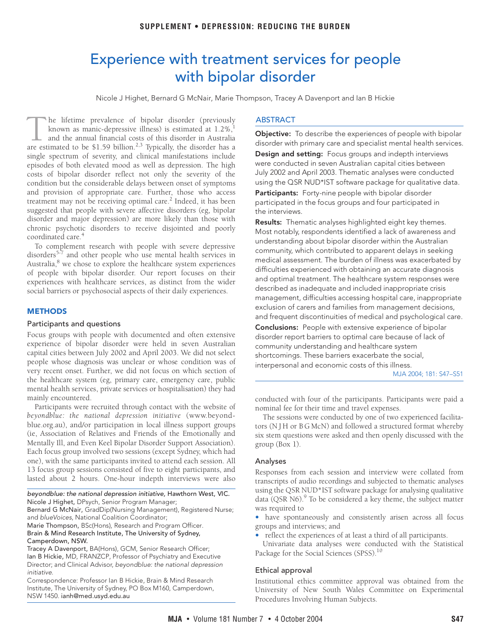# <span id="page-0-0"></span>Experience with treatment services for people with bipolar disorder

Nicole J Highet, Bernard G McNair, Marie Thompson, Tracey A Davenport and Ian B Hickie

condition out the considerable delays between onset of symptoms<br>and provision of appropriate [car](#page-0-0)[e.](#page-4-0) Further, those who access treatment may not be receiving optimal care.<sup>2</sup> Indeed, it has been The May not be receiving optimal care. The suggested that people with severe affective disorders (eg, bipolar disorder and major depression) are more likely than those with he lifetime prevalence of bipolar disorder (previously known as manic-depressive illness) is estimated at [1](#page-3-0).2%, and the annual financial costs of this disorder in Australia The lifetime prevalence of bipolar disorder (previously known as manic-depressive illness) is estimated at 1.2%,<sup>1</sup> and the annual financial costs of this disorder in Australia are estimated to be \$1.59 billion.<sup>[2,](#page-4-1)3</sup> Typic single spectrum of severity, and clinical manifestations include episodes of both elevated mood as well as depression. The high costs of bipolar disorder reflect not only the severity of the condition but the considerable delays between onset of symptoms chronic psychotic disorders to receive disjointed and poorly coordinated care.<sup>[4](#page-4-3)</sup>

To complement research with people with severe depressive disorders<sup>[5](#page-4-4)-[7](#page-4-5)</sup> and other people who use mental health services in Australia, $8$  we chose to explore the healthcare system experiences of people with bipolar disorder. Our report focuses on their experiences with healthcare services, as distinct from the wider social barriers or psychosocial aspects of their daily experiences.

# **METHODS**

### Participants and questions

Focus groups with people with documented and often extensive experience of bipolar disorder were held in seven Australian capital cities between July 2002 and April 2003. We did not select people whose diagnosis was unclear or whose condition was of very recent onset. Further, we did not focus on which section of the healthcare system (eg, primary care, emergency care, public mental health services, private services or hospitalisation) they had mainly encountered.

Participants were recruited through contact with the website of *beyondblue: the national depression initiative* (www.beyondblue.org.au), and/or participation in local illness support groups (ie, Association of Relatives and Friends of the Emotionally and Mentally Ill, and Even Keel Bipolar Disorder Support Association). Each focus group involved two sessions (except Sydney, which had one), with the same participants invited to attend each session. All 13 focus group sessions consisted of five to eight participants, and lasted about 2 hours. One-hour indepth interviews were also

beyondblue: the national depression initiative, Hawthorn West, VIC. Nicole J Highet, DPsych, Senior Program Manager;

Bernard G McNair, GradDip(Nursing Management), Registered Nurse; and blueVoices, National Coalition Coordinator;

Marie Thompson, BSc(Hons), Research and Program Officer. Brain & Mind Research Institute, The University of Sydney, Camperdown, NSW.

Tracey A Davenport, BA(Hons), GCM, Senior Research Officer; Ian B Hickie, MD, FRANZCP, Professor of Psychiatry and Executive Director; and Clinical Advisor, beyondblue: the national depression initiative.

Correspondence: Professor Ian B Hickie, Brain & Mind Research Institute, The University of Sydney, PO Box M160, Camperdown, NSW 1450. ianh@med.usyd.edu.au

# ABSTRACT

**Objective:** To describe the experiences of people with bipolar disorder with primary care and specialist mental health services.

**Design and setting:** Focus groups and indepth interviews were conducted in seven Australian capital cities between July 2002 and April 2003. Thematic analyses were conducted using the QSR NUD\*IST software package for qualitative data.

**Participants:** Forty-nine people with bipolar disorder participated in the focus groups and four participated in the interviews.

**Results:** Thematic analyses highlighted eight key themes. Most notably, respondents identified a lack of awareness and understanding about bipolar disorder within the Australian community, which contributed to apparent delays in seeking medical assessment. The burden of illness was exacerbated by difficulties experienced with obtaining an accurate diagnosis and optimal treatment. The healthcare system responses were described as inadequate and included inappropriate crisis management, difficulties accessing hospital care, inappropriate exclusion of carers and families from management decisions, and frequent discontinuities of medical and psychological care.

**Conclusions:** People with extensive experience of bipolar disorder report barriers to optimal care because of lack of community understanding and healthcare system shortcomings. These barriers exacerbate the social, interpersonal and economic costs of this illness.

MJA 2004; 181: S47–S51

conducted with four of the participants. Participants were paid a nominal fee for their time and travel expenses.

The sessions were conducted by one of two experienced facilitators (N J H or B G McN) and followed a structured format whereby six stem questions were asked and then openly discussed with the group ([Box 1\)](#page-1-0).

## Analyses

Responses from each session and interview were collated from transcripts of audio recordings and subjected to thematic analyses using the QSR NUD\*IST software package for analysing qualitative data (QSR N6).<sup>[9](#page-4-7)</sup> To be considered a key theme, the subject matter was required to

**•** have spontaneously and consistently arisen across all focus groups and interviews; and

**•** reflect the experiences of at least a third of all participants.

Univariate data analyses were conducted with the Statistical Package for the Social Sciences (SPSS).<sup>[10](#page-4-8)</sup>

## Ethical approval

Institutional ethics committee approval was obtained from the University of New South Wales Committee on Experimental Procedures Involving Human Subjects.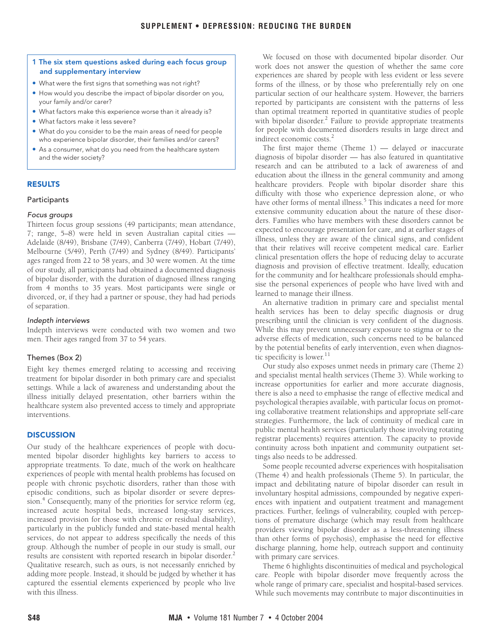## <span id="page-1-0"></span>**1 The six stem questions asked during each focus group and supplementary interview**

- **•** What were the first signs that something was not right?
- **•** How would you describe the impact of bipolar disorder on you, your family and/or carer?
- **•** What factors make this experience worse than it already is?
- **•** What factors make it less severe?
- **•** What do you consider to be the main areas of need for people who experience bipolar disorder, their families and/or carers?
- **•** As a consumer, what do you need from the healthcare system and the wider society?

## **RESULTS**

#### Participants

#### Focus groups

Thirteen focus group sessions (49 participants; mean attendance, 7; range, 5–8) were held in seven Australian capital cities — Adelaide (8/49), Brisbane (7/49), Canberra (7/49), Hobart (7/49), Melbourne (5/49), Perth (7/49) and Sydney (8/49). Participants' ages ranged from 22 to 58 years, and 30 were women. At the time of our study, all participants had obtained a documented diagnosis of bipolar disorder, with the duration of diagnosed illness ranging from 4 months to 35 years. Most participants were single or divorced, or, if they had a partner or spouse, they had had periods of separation.

#### Indepth interviews

Indepth interviews were conducted with two women and two men. Their ages ranged from 37 to 54 years.

## Themes ([Box 2](#page-2-0))

Eight key themes emerged relating to accessing and receiving treatment for bipolar disorder in both primary care and specialist settings. While a lack of awareness and understanding about the illness initially delayed presentation, other barriers within the healthcare system also prevented access to timely and appropriate interventions.

## **DISCUSSION**

Our study of the healthcare experiences of people with documented bipolar disorder highlights key barriers to access to appropriate treatments. To date, much of the work on healthcare experiences of people with mental health problems has focused on people with chronic psychotic disorders, rather than those with episodic conditions, such as bipolar disorder or severe depression.<sup>4</sup> Consequently, many of the priorities for service reform (eg, increased acute hospital beds, increased long-stay services, increased provision for those with chronic or residual disability), particularly in the publicly funded and state-based mental health services, do not appear to address specifically the needs of this group. Although the number of people in our study is small, our results are consistent with reported research in bipolar disorder.<sup>[2](#page-4-1)</sup> Qualitative research, such as ours, is not necessarily enriched by adding more people. Instead, it should be judged by whether it has captured the essential elements experienced by people who live with this illness.

We focused on those with documented bipolar disorder. Our work does not answer the question of whether the same core experiences are shared by people with less evident or less severe forms of the illness, or by those who preferentially rely on one particular section of our healthcare system. However, the barriers reported by participants are consistent with the patterns of less than optimal treatment reported in quantitative studies of people with bipolar disorder.<sup>2</sup> Failure to provide appropriate treatments for people with documented disorders results in large direct and indirect economic costs.[2](#page-4-1)

The first major theme  $(Theme 1)$  — delayed or inaccurate diagnosis of bipolar disorder — has also featured in quantitative research and can be attributed to a lack of awareness of and education about the illness in the general community and among healthcare providers. People with bipolar disorder share this difficulty with those who experience depression alone, or who have other forms of mental illness.<sup>[5](#page-4-4)</sup> This indicates a need for more extensive community education about the nature of these disorders. Families who have members with these disorders cannot be expected to encourage presentation for care, and at earlier stages of illness, unless they are aware of the clinical signs, and confident that their relatives will receive competent medical care. Earlier clinical presentation offers the hope of reducing delay to accurate diagnosis and provision of effective treatment. Ideally, education for the community and for healthcare professionals should emphasise the personal experiences of people who have lived with and learned to manage their illness.

An alternative tradition in primary care and specialist mental health services has been to delay specific diagnosis or drug prescribing until the clinician is very confident of the diagnosis. While this may prevent unnecessary exposure to stigma or to the adverse effects of medication, such concerns need to be balanced by the potential benefits of early intervention, even when diagnostic specificity is lower. $11$ 

Our study also exposes unmet needs in primary care (Theme 2) and specialist mental health services (Theme 3). While working to increase opportunities for earlier and more accurate diagnosis, there is also a need to emphasise the range of effective medical and psychological therapies available, with particular focus on promoting collaborative treatment relationships and appropriate self-care strategies. Furthermore, the lack of continuity of medical care in public mental health services (particularly those involving rotating registrar placements) requires attention. The capacity to provide continuity across both inpatient and community outpatient settings also needs to be addressed.

Some people recounted adverse experiences with hospitalisation (Theme 4) and health professionals (Theme 5). In particular, the impact and debilitating nature of bipolar disorder can result in involuntary hospital admissions, compounded by negative experiences with inpatient and outpatient treatment and management practices. Further, feelings of vulnerability, coupled with perceptions of premature discharge (which may result from healthcare providers viewing bipolar disorder as a less-threatening illness than other forms of psychosis), emphasise the need for effective discharge planning, home help, outreach support and continuity with primary care services.

Theme 6 highlights discontinuities of medical and psychological care. People with bipolar disorder move frequently across the whole range of primary care, specialist and hospital-based services. While such movements may contribute to major discontinuities in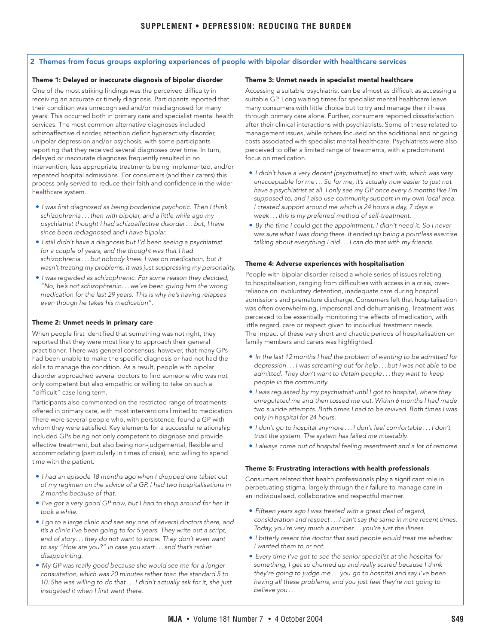# <span id="page-2-0"></span>**2 Themes from focus groups exploring experiences of people with bipolar disorder with healthcare services**

## **Theme 1: Delayed or inaccurate diagnosis of bipolar disorder**

One of the most striking findings was the perceived difficulty in receiving an accurate or timely diagnosis. Participants reported that their condition was unrecognised and/or misdiagnosed for many years. This occurred both in primary care and specialist mental health services. The most common alternative diagnoses included schizoaffective disorder, attention deficit hyperactivity disorder, unipolar depression and/or psychosis, with some participants reporting that they received several diagnoses over time. In turn, delayed or inaccurate diagnoses frequently resulted in no intervention, less appropriate treatments being implemented, and/or repeated hospital admissions. For consumers (and their carers) this process only served to reduce their faith and confidence in the wider healthcare system.

- I was first diagnosed as being borderline psychotic. Then I think schizophrenia . . . then with bipolar, and a little while ago my psychiatrist thought I had schizoaffective disorder. . . but, I have since been rediagnosed and I have bipolar.
- I still didn't have a diagnosis but I'd been seeing a psychiatrist for a couple of years, and the thought was that I had schizophrenia . . . but nobody knew. I was on medication, but it wasn't treating my problems, it was just suppressing my personality.
- I was regarded as schizophrenic. For some reason they decided, "No, he's not schizophrenic . . . we've been giving him the wrong medication for the last 29 years. This is why he's having relapses even though he takes his medication".

#### **Theme 2: Unmet needs in primary care**

When people first identified that something was not right, they reported that they were most likely to approach their general practitioner. There was general consensus, however, that many GPs had been unable to make the specific diagnosis or had not had the skills to manage the condition. As a result, people with bipolar disorder approached several doctors to find someone who was not only competent but also empathic or willing to take on such a "difficult" case long term.

Participants also commented on the restricted range of treatments offered in primary care, with most interventions limited to medication. There were several people who, with persistence, found a GP with whom they were satisfied. Key elements for a successful relationship included GPs being not only competent to diagnose and provide effective treatment, but also being non-judgemental, flexible and accommodating (particularly in times of crisis), and willing to spend time with the patient.

- I had an episode 18 months ago when I dropped one tablet out of my regimen on the advice of a GP. I had two hospitalisations in 2 months because of that.
- I've got a very good GP now, but I had to shop around for her. It took a while.
- I go to a large clinic and see any one of several doctors there, and it's a clinic I've been going to for 5 years. They write out a script, end of story. . . they do not want to know. They don't even want to say "How are you?" in case you start . . . and that's rather disappointing.
- My GP was really good because she would see me for a longer consultation, which was 20 minutes rather than the standard 5 to 10. She was willing to do that . . . I didn't actually ask for it, she just instigated it when I first went there.

## **Theme 3: Unmet needs in specialist mental healthcare**

Accessing a suitable psychiatrist can be almost as difficult as accessing a suitable GP. Long waiting times for specialist mental healthcare leave many consumers with little choice but to try and manage their illness through primary care alone. Further, consumers reported dissatisfaction after their clinical interactions with psychiatrists. Some of these related to management issues, while others focused on the additional and ongoing costs associated with specialist mental healthcare. Psychiatrists were also perceived to offer a limited range of treatments, with a predominant focus on medication.

- I didn't have a very decent [psychiatrist] to start with, which was very unacceptable for me . . . So for me, it's actually now easier to just not have a psychiatrist at all. I only see my GP once every 6 months like I'm supposed to, and I also use community support in my own local area. I created support around me which is 24 hours a day, 7 days a week . . . this is my preferred method of self-treatment.
- By the time I could get the appointment, I didn't need it. So I never was sure what I was doing there. It ended up being a pointless exercise talking about everything I did . . . I can do that with my friends.

#### **Theme 4: Adverse experiences with hospitalisation**

People with bipolar disorder raised a whole series of issues relating to hospitalisation, ranging from difficulties with access in a crisis, overreliance on involuntary detention, inadequate care during hospital admissions and premature discharge. Consumers felt that hospitalisation was often overwhelming, impersonal and dehumanising. Treatment was perceived to be essentially monitoring the effects of medication, with little regard, care or respect given to individual treatment needs. The impact of these very short and chaotic periods of hospitalisation on family members and carers was highlighted.

- In the last 12 months I had the problem of wanting to be admitted for depression . . . I was screaming out for help . . . but I was not able to be admitted. They don't want to detain people . . . they want to keep people in the community.
- I was regulated by my psychiatrist until I got to hospital, where they unregulated me and then tossed me out. Within 6 months I had made two suicide attempts. Both times I had to be revived. Both times I was only in hospital for 24 hours.
- I don't go to hospital anymore . . . I don't feel comfortable . . . I don't trust the system. The system has failed me miserably.
- I always come out of hospital feeling resentment and a lot of remorse.

#### **Theme 5: Frustrating interactions with health professionals**

Consumers related that health professionals play a significant role in perpetuating stigma, largely through their failure to manage care in an individualised, collaborative and respectful manner.

- Fifteen years ago I was treated with a great deal of regard, consideration and respect . . . I can't say the same in more recent times. Today, you're very much a number. . . you're just the illness.
- I bitterly resent the doctor that said people would treat me whether I wanted them to or not.
- Every time I've got to see the senior specialist at the hospital for something, I get so churned up and really scared because I think they're going to judge me . . . you go to hospital and say I've been having all these problems, and you just feel they're not going to believe you . . .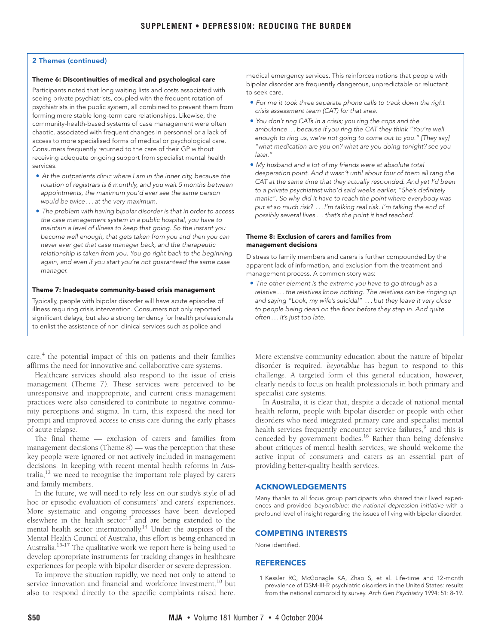## **2 Themes (continued)**

#### **Theme 6: Discontinuities of medical and psychological care**

Participants noted that long waiting lists and costs associated with seeing private psychiatrists, coupled with the frequent rotation of psychiatrists in the public system, all combined to prevent them from forming more stable long-term care relationships. Likewise, the community-health-based systems of case management were often chaotic, associated with frequent changes in personnel or a lack of access to more specialised forms of medical or psychological care. Consumers frequently returned to the care of their GP without receiving adequate ongoing support from specialist mental health services.

- At the outpatients clinic where I am in the inner city, because the rotation of registrars is 6 monthly, and you wait 5 months between appointments, the maximum you'd ever see the same person would be twice . . . at the very maximum.
- The problem with having bipolar disorder is that in order to access the case management system in a public hospital, you have to maintain a level of illness to keep that going. So the instant you become well enough, that gets taken from you and then you can never ever get that case manager back, and the therapeutic relationship is taken from you. You go right back to the beginning again, and even if you start you're not guaranteed the same case manager.

#### **Theme 7: Inadequate community-based crisis management**

Typically, people with bipolar disorder will have acute episodes of illness requiring crisis intervention. Consumers not only reported significant delays, but also a strong tendency for health professionals to enlist the assistance of non-clinical services such as police and

care,<sup>[4](#page-4-3)</sup> the potential impact of this on patients and their families affirms the need for innovative and collaborative care systems.

Healthcare services should also respond to the issue of crisis management (Theme 7). These services were perceived to be unresponsive and inappropriate, and current crisis management practices were also considered to contribute to negative community perceptions and stigma. In turn, this exposed the need for prompt and improved access to crisis care during the early phases of acute relapse.

The final theme — exclusion of carers and families from management decisions (Theme 8) — was the perception that these key people were ignored or not actively included in management decisions. In keeping with recent mental health reforms in Australia, $^{12}$  we need to recognise the important role played by carers and family members.

In the future, we will need to rely less on our study's style of ad hoc or episodic evaluation of consumers' and carers' experiences. More systematic and ongoing processes have been developed elsewhere in the health sector<sup>13</sup> and are being extended to the mental health sector internationally.[14](#page-4-12) Under the auspices of the Mental Health Council of Australia, this effort is being enhanced in Australia.<sup>15-[17](#page-4-0)</sup> The qualitative work we report here is being used to develop appropriate instruments for tracking changes in healthcare experiences for people with bipolar disorder or severe depression.

To improve the situation rapidly, we need not only to attend to service innovation and financial and workforce investment, $10$  but also to respond directly to the specific complaints raised here.

medical emergency services. This reinforces notions that people with bipolar disorder are frequently dangerous, unpredictable or reluctant to seek care.

- For me it took three separate phone calls to track down the right crisis assessment team (CAT) for that area.
- You don't ring CATs in a crisis; you ring the cops and the ambulance . . . because if you ring the CAT they think "You're well enough to ring us, we're not going to come out to you." [They say] "what medication are you on? what are you doing tonight? see you later."
- My husband and a lot of my friends were at absolute total desperation point. And it wasn't until about four of them all rang the CAT at the same time that they actually responded. And yet I'd been to a private psychiatrist who'd said weeks earlier, "She's definitely manic". So why did it have to reach the point where everybody was put at so much risk? . . . I'm talking real risk. I'm talking the end of possibly several lives . . . that's the point it had reached.

#### **Theme 8: Exclusion of carers and families from management decisions**

Distress to family members and carers is further compounded by the apparent lack of information, and exclusion from the treatment and management process. A common story was:

**•** The other element is the extreme you have to go through as a relative . . . the relatives know nothing. The relatives can be ringing up and saying "Look, my wife's suicidal" . . . but they leave it very close to people being dead on the floor before they step in. And quite often . . . it's just too late.

More extensive community education about the nature of bipolar disorder is required. *beyondblue* has begun to respond to this challenge. A targeted form of this general education, however, clearly needs to focus on health professionals in both primary and specialist care systems.

In Australia, it is clear that, despite a decade of national mental health reform, people with bipolar disorder or people with other disorders who need integrated primary care and specialist mental health services frequently encounter service failures,<sup>[9](#page-4-7)</sup> and this is conceded by government bodies.<sup>16</sup> Rather than being defensive about critiques of mental health services, we should welcome the active input of consumers and carers as an essential part of providing better-quality health services.

#### **ACKNOWLEDGEMENTS**

Many thanks to all focus group participants who shared their lived experiences and provided beyondblue: the national depression initiative with a profound level of insight regarding the issues of living with bipolar disorder.

## **COMPETING INTERESTS**

None identified.

## **REFERENCES**

<span id="page-3-0"></span>1 Kessler RC, McGonagle KA, Zhao S, et al. Life-time and 12-month prevalence of DSM-III-R psychiatric disorders in the United States: results from the national comorbidity survey. Arch Gen Psychiatry 1994; 51: 8-19.